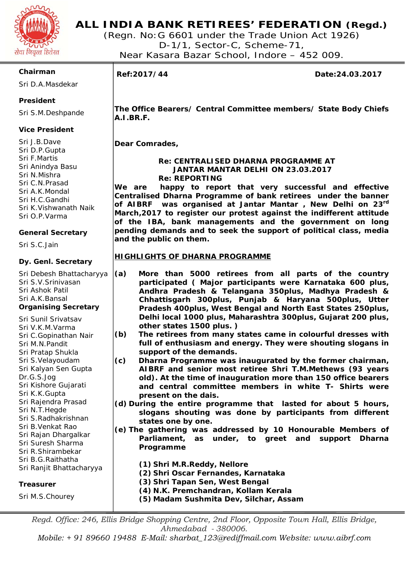

(Regn. No:G 6601 under the Trade Union Act 1926) D-1/1, Sector-C, Scheme-71, Near Kasara Bazar School, Indore – 452 009.

#### **Chairman**

Sri D.A.Masdekar

### **President**

Sri S.M.Deshpande

#### **Vice President**

Sri J.B.Dave Sri D.P.Gupta Sri F.Martis Sri Anindya Basu Sri N.Mishra Sri C.N.Prasad Sri A.K.Mondal Sri H.C.Gandhi Sri K.Vishwanath Naik Sri O.P.Varma

#### **General Secretary**

Sri S.C.Jain

#### **Dy. Genl. Secretary**

Sri Debesh Bhattacharyya Sri S.V.Srinivasan Sri Ashok Patil Sri A.K.Bansal **Organising Secretary** 

- Sri Sunil Srivatsav Sri V.K.M.Varma Sri C.Gopinathan Nair Sri M.N.Pandit Sri Pratap Shukla Sri S.Velayoudam Sri Kalyan Sen Gupta Dr.G.S.Jog Sri Kishore Gujarati Sri K.K.Gupta Sri Rajendra Prasad
- Sri N.T.Hegde
- Sri S.Radhakrishnan
- Sri B.Venkat Rao Sri Rajan Dhargalkar
- Sri Suresh Sharma
- Sri R.Shirambekar
- Sri B.G.Raithatha
- Sri Ranjit Bhattacharyya

### **Treasurer**

Sri M.S.Chourey

# ٦

**Ref:2017/44 Date:24.03.2017** 

**The Office Bearers/ Central Committee members/ State Body Chiefs A.I.BR.F.** 

**Dear Comrades,** 

#### **Re: CENTRALISED DHARNA PROGRAMME AT JANTAR MANTAR DELHI ON 23.03.2017 Re: REPORTING**

**We are happy to report that very successful and effective Centralised Dharna Programme of bank retirees under the banner of AIBRF was organised at Jantar Mantar , New Delhi on 23rd March,2017 to register our protest against the indifferent attitude of the IBA, bank managements and the government on long pending demands and to seek the support of political class, media and the public on them.** 

#### **HIGHLIGHTS OF DHARNA PROGRAMME**

- **(a) More than 5000 retirees from all parts of the country participated ( Major participants were Karnataka 600 plus, Andhra Pradesh & Telangana 350plus, Madhya Pradesh & Chhattisgarh 300plus, Punjab & Haryana 500plus, Utter Pradesh 400plus, West Bengal and North East States 250plus, Delhi local 1000 plus, Maharashtra 300plus, Gujarat 200 plus, other states 1500 plus. )**
- **(b) The retirees from many states came in colourful dresses with full of enthusiasm and energy. They were shouting slogans in support of the demands.**
- **(c) Dharna Programme was inaugurated by the former chairman, AIBRF and senior most retiree Shri T.M.Methews (93 years old). At the time of inauguration more than 150 office bearers and central committee members in white T- Shirts were present on the dais.**
- **(d) During the entire programme that lasted for about 5 hours, slogans shouting was done by participants from different states one by one.**
- **(e) The gathering was addressed by 10 Honourable Members of Parliament, as under, to greet and support Dharna Programme**

**(1) Shri M.R.Reddy, Nellore** 

- **(2) Shri Oscar Fernandes, Karnataka**
- **(3) Shri Tapan Sen, West Bengal**
- **(4) N.K. Premchandran, Kollam Kerala**
- **(5) Madam Sushmita Dev, Silchar, Assam**

*Regd. Office: 246, Ellis Bridge Shopping Centre, 2nd Floor, Opposite Town Hall, Ellis Bridge, Ahmedabad - 380006.* 

*Mobile: + 91 89660 19488 E-Mail: sharbat\_123@rediffmail.com Website: www.aibrf.com*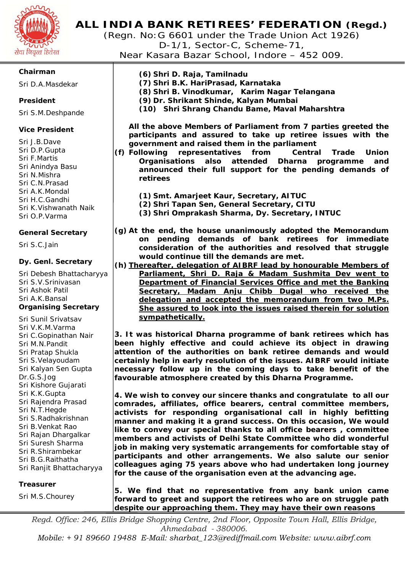

(Regn. No:G 6601 under the Trade Union Act 1926) D-1/1, Sector-C, Scheme-71, Near Kasara Bazar School, Indore – 452 009.

### **Chairman**

Sri D.A.Masdekar

#### **President**

Sri S.M.Deshpande

#### **Vice President**

Sri J.B.Dave Sri D.P.Gupta Sri F.Martis Sri Anindya Basu Sri N.Mishra Sri C.N.Prasad Sri A.K.Mondal Sri H.C.Gandhi Sri K.Vishwanath Naik Sri O.P.Varma

#### **General Secretary**

Sri S.C.Jain

#### **Dy. Genl. Secretary**

Sri Debesh Bhattacharyya Sri S.V.Srinivasan Sri Ashok Patil Sri A.K.Bansal **Organising Secretary** 

Sri Sunil Srivatsav Sri V.K.M.Varma Sri C.Gopinathan Nair Sri M.N.Pandit Sri Pratap Shukla Sri S.Velayoudam Sri Kalyan Sen Gupta Dr.G.S.Jog Sri Kishore Gujarati Sri K.K.Gupta Sri Rajendra Prasad Sri N.T.Hegde Sri S.Radhakrishnan Sri B.Venkat Rao Sri Rajan Dhargalkar Sri Suresh Sharma Sri R.Shirambekar Sri B.G.Raithatha Sri Ranjit Bhattacharyya

#### **Treasurer**

Sri M.S.Chourey

**(6) Shri D. Raja, Tamilnadu (7) Shri B.K. HariPrasad, Karnataka (8) Shri B. Vinodkumar, Karim Nagar Telangana (9) Dr. Shrikant Shinde, Kalyan Mumbai (10) Shri Shrang Chandu Bame, Maval Maharshtra** 

**All the above Members of Parliament from 7 parties greeted the participants and assured to take up retiree issues with the government and raised them in the parliament** 

- **(f) Following representatives from Central Trade Union Organisations also attended Dharna programme and announced their full support for the pending demands of retirees** 
	- **(1) Smt. Amarjeet Kaur, Secretary, AITUC**
	- **(2) Shri Tapan Sen, General Secretary, CITU**
	- **(3) Shri Omprakash Sharma, Dy. Secretary, INTUC**
- **(g) At the end, the house unanimously adopted the Memorandum on pending demands of bank retirees for immediate consideration of the authorities and resolved that struggle would continue till the demands are met.**
- **(h) Thereafter, delegation of AIBRF lead by honourable Members of Parliament, Shri D. Raja & Madam Sushmita Dev went to Department of Financial Services Office and met the Banking Secretary, Madam Anju Chibb Dugal who received the delegation and accepted the memorandum from two M.Ps. She assured to look into the issues raised therein for solution sympathetically.**

**3. It was historical Dharna programme of bank retirees which has been highly effective and could achieve its object in drawing attention of the authorities on bank retiree demands and would certainly help in early resolution of the issues. AIBRF would initiate necessary follow up in the coming days to take benefit of the favourable atmosphere created by this Dharna Programme.** 

**4. We wish to convey our sincere thanks and congratulate to all our comrades, affiliates, office bearers, central committee members, activists for responding organisational call in highly befitting manner and making it a grand success. On this occasion, We would like to convey our special thanks to all office bearers , committee members and activists of Delhi State Committee who did wonderful job in making very systematic arrangements for comfortable stay of participants and other arrangements. We also salute our senior colleagues aging 75 years above who had undertaken long journey for the cause of the organisation even at the advancing age.** 

**5. We find that no representative from any bank union came forward to greet and support the retirees who are on struggle path despite our approaching them. They may have their own reasons** 

*Regd. Office: 246, Ellis Bridge Shopping Centre, 2nd Floor, Opposite Town Hall, Ellis Bridge, Ahmedabad - 380006.* 

*Mobile: + 91 89660 19488 E-Mail: sharbat\_123@rediffmail.com Website: www.aibrf.com*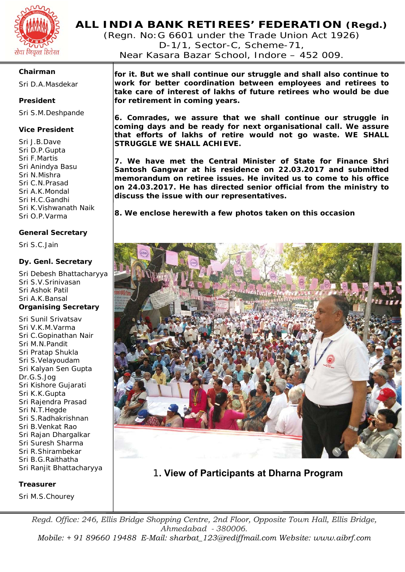

(Regn. No:G 6601 under the Trade Union Act 1926) D-1/1, Sector-C, Scheme-71, Near Kasara Bazar School, Indore – 452 009.

#### **Chairman**

Sri D.A.Masdekar

#### **President**

Sri S.M.Deshpande

#### **Vice President**

Sri J.B.Dave Sri D.P.Gupta Sri F.Martis Sri Anindya Basu Sri N.Mishra Sri C.N.Prasad Sri A.K.Mondal Sri H.C.Gandhi Sri K.Vishwanath Naik Sri O.P.Varma

#### **General Secretary**

Sri S.C.Jain

#### **Dy. Genl. Secretary**

Sri Debesh Bhattacharyya Sri S.V.Srinivasan Sri Ashok Patil Sri A.K.Bansal **Organising Secretary** 

Sri Sunil Srivatsav Sri V.K.M.Varma Sri C.Gopinathan Nair Sri M.N.Pandit Sri Pratap Shukla Sri S.Velayoudam Sri Kalyan Sen Gupta Dr.G.S.Jog Sri Kishore Gujarati Sri K.K.Gupta Sri Rajendra Prasad Sri N.T.Hegde Sri S.Radhakrishnan Sri B.Venkat Rao Sri Rajan Dhargalkar Sri Suresh Sharma Sri R.Shirambekar Sri B.G.Raithatha Sri Ranjit Bhattacharyya

#### **Treasurer**

Sri M.S.Chourey

**for it. But we shall continue our struggle and shall also continue to work for better coordination between employees and retirees to take care of interest of lakhs of future retirees who would be due for retirement in coming years.** 

**6. Comrades, we assure that we shall continue our struggle in coming days and be ready for next organisational call. We assure that efforts of lakhs of retire would not go waste. WE SHALL STRUGGLE WE SHALL ACHIEVE.** 

**7. We have met the Central Minister of State for Finance Shri Santosh Gangwar at his residence on 22.03.2017 and submitted memorandum on retiree issues. He invited us to come to his office on 24.03.2017. He has directed senior official from the ministry to discuss the issue with our representatives.** 

**8. We enclose herewith a few photos taken on this occasion** 



1**. View of Participants at Dharna Program**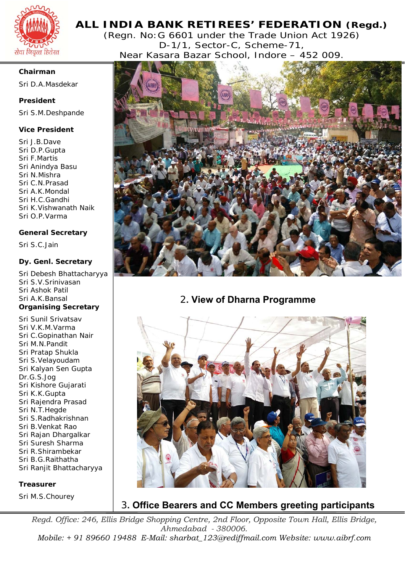![](_page_3_Picture_0.jpeg)

(Regn. No:G 6601 under the Trade Union Act 1926) D-1/1, Sector-C, Scheme-71, Near Kasara Bazar School, Indore – 452 009.

#### **Chairman**

Sri D.A.Masdekar

#### **President**

Sri S.M.Deshpande

#### **Vice President**

Sri J.B.Dave Sri D.P.Gupta Sri F.Martis Sri Anindya Basu Sri N.Mishra Sri C.N.Prasad Sri A.K.Mondal Sri H.C.Gandhi Sri K.Vishwanath Naik Sri O.P.Varma

#### **General Secretary**

Sri S.C.Jain

#### **Dy. Genl. Secretary**

Sri Debesh Bhattacharyya Sri S.V.Srinivasan Sri Ashok Patil Sri A.K.Bansal **Organising Secretary** 

Sri Sunil Srivatsav Sri V.K.M.Varma Sri C.Gopinathan Nair Sri M.N.Pandit Sri Pratap Shukla Sri S.Velayoudam Sri Kalyan Sen Gupta Dr.G.S.Jog Sri Kishore Gujarati Sri K.K.Gupta Sri Rajendra Prasad Sri N.T.Hegde Sri S.Radhakrishnan Sri B.Venkat Rao Sri Rajan Dhargalkar Sri Suresh Sharma Sri R.Shirambekar Sri B.G.Raithatha Sri Ranjit Bhattacharyya

#### **Treasurer**

Sri M.S.Chourey

![](_page_3_Picture_16.jpeg)

# 2**. View of Dharna Programme**

![](_page_3_Picture_18.jpeg)

3**. Office Bearers and CC Members greeting participants**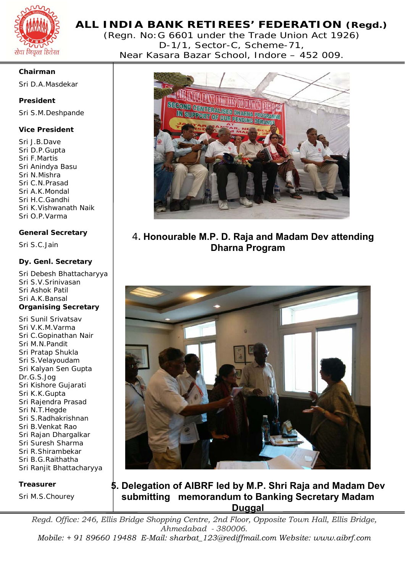![](_page_4_Picture_0.jpeg)

(Regn. No:G 6601 under the Trade Union Act 1926) D-1/1, Sector-C, Scheme-71, Near Kasara Bazar School, Indore – 452 009.

#### **Chairman**

Sri D.A.Masdekar

# **President**

Sri S.M.Deshpande

## **Vice President**

Sri J.B.Dave Sri D.P.Gupta Sri F.Martis Sri Anindya Basu Sri N.Mishra Sri C.N.Prasad Sri A.K.Mondal Sri H.C.Gandhi Sri K.Vishwanath Naik Sri O.P.Varma

# **General Secretary**

Sri S.C.Jain

### **Dy. Genl. Secretary**

Sri Debesh Bhattacharyya Sri S.V.Srinivasan Sri Ashok Patil Sri A.K.Bansal **Organising Secretary** 

Sri Sunil Srivatsav Sri V.K.M.Varma Sri C.Gopinathan Nair Sri M.N.Pandit Sri Pratap Shukla Sri S.Velayoudam Sri Kalyan Sen Gupta Dr.G.S.Jog Sri Kishore Gujarati Sri K.K.Gupta Sri Rajendra Prasad Sri N.T.Hegde Sri S.Radhakrishnan Sri B.Venkat Rao Sri Rajan Dhargalkar Sri Suresh Sharma Sri R.Shirambekar Sri B.G.Raithatha Sri Ranjit Bhattacharyya

#### **Treasurer**

Sri M.S.Chourey

![](_page_4_Picture_16.jpeg)

# 4**. Honourable M.P. D. Raja and Madam Dev attending Dharna Program**

![](_page_4_Picture_18.jpeg)

# **5. Delegation of AIBRF led by M.P. Shri Raja and Madam Dev submitting memorandum to Banking Secretary Madam Duggal**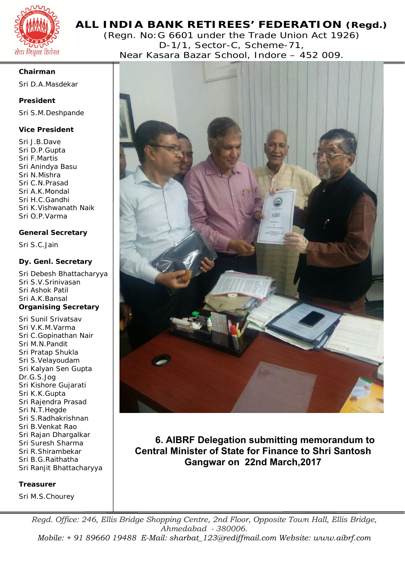![](_page_5_Picture_0.jpeg)

(Regn. No:G 6601 under the Trade Union Act 1926) D-1/1, Sector-C, Scheme-71, Near Kasara Bazar School, Indore – 452 009.

#### **Chairman**

Sri D.A.Masdekar

#### **President**

Sri S.M.Deshpande

#### **Vice President**

Sri J.B.Dave Sri D.P.Gupta Sri F.Martis Sri Anindya Basu Sri N.Mishra Sri C.N.Prasad Sri A.K.Mondal Sri H.C.Gandhi Sri K.Vishwanath Naik Sri O.P.Varma

#### **General Secretary**

Sri S.C.Jain

#### **Dy. Genl. Secretary**

Sri Debesh Bhattacharyya Sri S.V.Srinivasan Sri Ashok Patil Sri A.K.Bansal **Organising Secretary** 

Sri Sunil Srivatsav Sri V.K.M.Varma Sri C.Gopinathan Nair Sri M.N.Pandit Sri Pratap Shukla Sri S.Velayoudam Sri Kalyan Sen Gupta Dr.G.S.Jog Sri Kishore Gujarati Sri K.K.Gupta Sri Rajendra Prasad Sri N.T.Hegde Sri S.Radhakrishnan Sri B.Venkat Rao Sri Rajan Dhargalkar Sri Suresh Sharma Sri R.Shirambekar Sri B.G.Raithatha Sri Ranjit Bhattacharyya

#### **Treasurer**

Sri M.S.Chourey

![](_page_5_Picture_16.jpeg)

**6. AIBRF Delegation submitting memorandum to Central Minister of State for Finance to Shri Santosh Gangwar on 22nd March,2017**